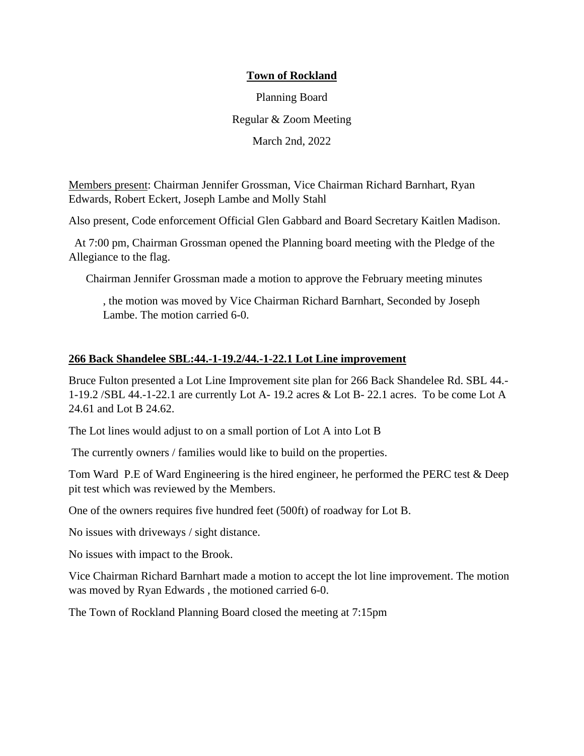# **Town of Rockland**

Planning Board Regular & Zoom Meeting March 2nd, 2022

Members present: Chairman Jennifer Grossman, Vice Chairman Richard Barnhart, Ryan Edwards, Robert Eckert, Joseph Lambe and Molly Stahl

Also present, Code enforcement Official Glen Gabbard and Board Secretary Kaitlen Madison.

At 7:00 pm, Chairman Grossman opened the Planning board meeting with the Pledge of the Allegiance to the flag.

Chairman Jennifer Grossman made a motion to approve the February meeting minutes

, the motion was moved by Vice Chairman Richard Barnhart, Seconded by Joseph Lambe. The motion carried 6-0.

## **266 Back Shandelee SBL:44.-1-19.2/44.-1-22.1 Lot Line improvement**

Bruce Fulton presented a Lot Line Improvement site plan for 266 Back Shandelee Rd. SBL 44.- 1-19.2 /SBL 44.-1-22.1 are currently Lot A- 19.2 acres & Lot B- 22.1 acres. To be come Lot A 24.61 and Lot B 24.62.

The Lot lines would adjust to on a small portion of Lot A into Lot B

The currently owners / families would like to build on the properties.

Tom Ward P.E of Ward Engineering is the hired engineer, he performed the PERC test & Deep pit test which was reviewed by the Members.

One of the owners requires five hundred feet (500ft) of roadway for Lot B.

No issues with driveways / sight distance.

No issues with impact to the Brook.

Vice Chairman Richard Barnhart made a motion to accept the lot line improvement. The motion was moved by Ryan Edwards , the motioned carried 6-0.

The Town of Rockland Planning Board closed the meeting at 7:15pm